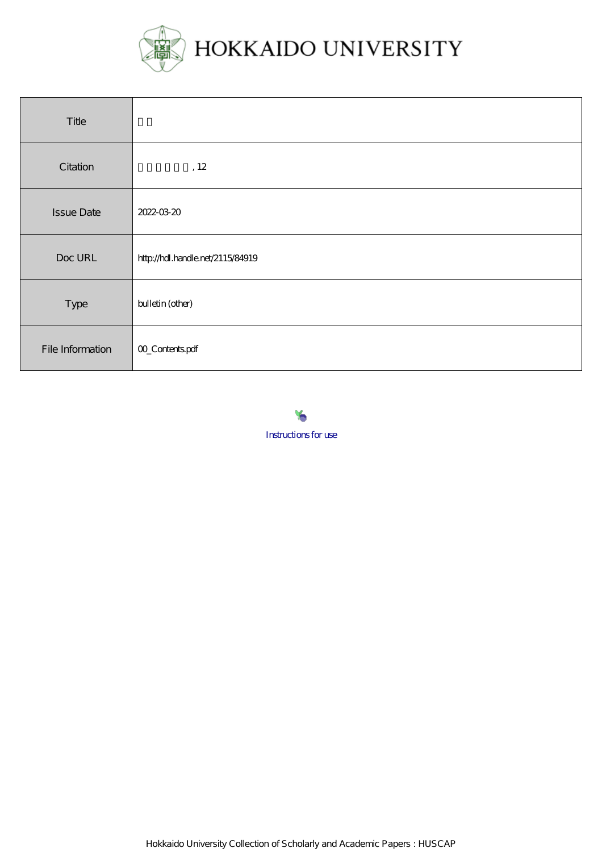

| Title             |                                  |
|-------------------|----------------------------------|
| Citation          | , 12                             |
| <b>Issue Date</b> | 2022-03-20                       |
| Doc URL           | http://hdl.handle.net/2115/84919 |
| Type              | bulletin (other)                 |
| File Information  | 00_Contentspdf                   |



Hokkaido University Collection of Scholarly and Academic Papers : HUSCAP